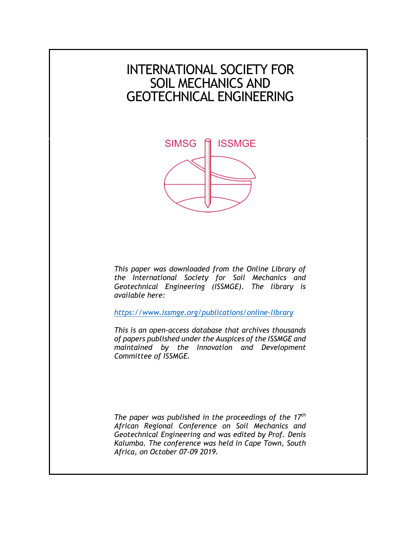# INTERNATIONAL SOCIETY FOR SOIL MECHANICS AND GEOTECHNICAL ENGINEERING



*This paper was downloaded from the Online Library of the International Society for Soil Mechanics and Geotechnical Engineering (ISSMGE). The library is available here:* 

*<https://www.issmge.org/publications/online-library>*

*This is an open-access database that archives thousands of papers published under the Auspices of the ISSMGE and maintained by the Innovation and Development Committee of ISSMGE.* 

*The paper was published in the proceedings of the 17th African Regional Conference on Soil Mechanics and Geotechnical Engineering and was edited by Prof. Denis Kalumba. The conference was held in Cape Town, South Africa, on October 07-09 2019.*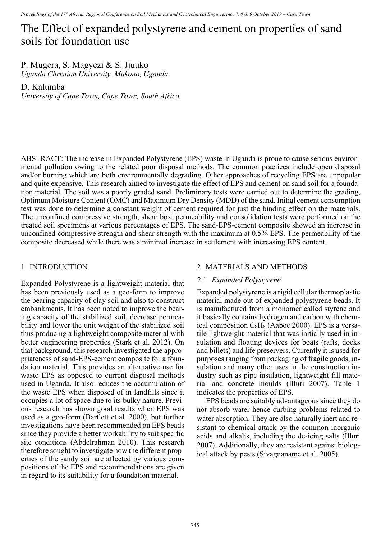# The Effect of expanded polystyrene and cement on properties of sand soils for foundation use

P. Mugera, S. Magyezi & S. Jjuuko *Uganda Christian University, Mukono, Uganda* 

D. Kalumba

*University of Cape Town, Cape Town, South Africa* 

ABSTRACT: The increase in Expanded Polystyrene (EPS) waste in Uganda is prone to cause serious environmental pollution owing to the related poor disposal methods. The common practices include open disposal and/or burning which are both environmentally degrading. Other approaches of recycling EPS are unpopular and quite expensive. This research aimed to investigate the effect of EPS and cement on sand soil for a foundation material. The soil was a poorly graded sand. Preliminary tests were carried out to determine the grading, Optimum Moisture Content (OMC) and Maximum Dry Density (MDD) of the sand. Initial cement consumption test was done to determine a constant weight of cement required for just the binding effect on the materials. The unconfined compressive strength, shear box, permeability and consolidation tests were performed on the treated soil specimens at various percentages of EPS. The sand-EPS-cement composite showed an increase in unconfined compressive strength and shear strength with the maximum at 0.5% EPS. The permeability of the composite decreased while there was a minimal increase in settlement with increasing EPS content.

### 1 INTRODUCTION

Expanded Polystyrene is a lightweight material that has been previously used as a geo-form to improve the bearing capacity of clay soil and also to construct embankments. It has been noted to improve the bearing capacity of the stabilized soil, decrease permeability and lower the unit weight of the stabilized soil thus producing a lightweight composite material with better engineering properties (Stark et al. 2012). On that background, this research investigated the appropriateness of sand-EPS-cement composite for a foundation material. This provides an alternative use for waste EPS as opposed to current disposal methods used in Uganda. It also reduces the accumulation of the waste EPS when disposed of in landfills since it occupies a lot of space due to its bulky nature. Previous research has shown good results when EPS was used as a geo-form (Bartlett et al. 2000), but further investigations have been recommended on EPS beads since they provide a better workability to suit specific site conditions (Abdelrahman 2010). This research therefore sought to investigate how the different properties of the sandy soil are affected by various compositions of the EPS and recommendations are given in regard to its suitability for a foundation material.

## 2 MATERIALS AND METHODS

#### 2.1 *Expanded Polystyrene*

Expanded polystyrene is a rigid cellular thermoplastic material made out of expanded polystyrene beads. It is manufactured from a monomer called styrene and it basically contains hydrogen and carbon with chemical composition  $C_8H_8$  (Aaboe 2000). EPS is a versatile lightweight material that was initially used in insulation and floating devices for boats (rafts, docks and billets) and life preservers. Currently it is used for purposes ranging from packaging of fragile goods, insulation and many other uses in the construction industry such as pipe insulation, lightweight fill material and concrete moulds (Illuri 2007). Table 1 indicates the properties of EPS.

EPS beads are suitably advantageous since they do not absorb water hence curbing problems related to water absorption. They are also naturally inert and resistant to chemical attack by the common inorganic acids and alkalis, including the de-icing salts (Illuri 2007). Additionally, they are resistant against biological attack by pests (Sivagnaname et al. 2005).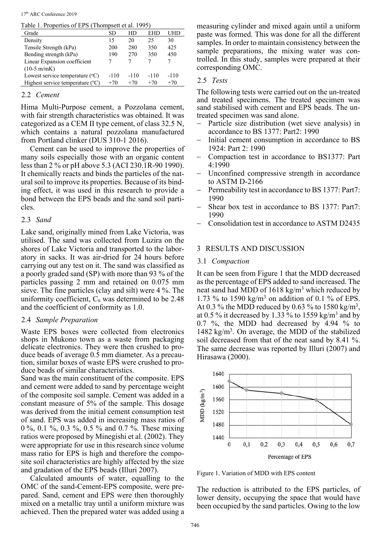17th ARC Conference 2019

Table 1. Properties of EPS (Thompsett et al. 1995)

| Twore 1. I repertive of ET $\sigma$ (Thompson of an $1/2$ ) |        |        |        |        |
|-------------------------------------------------------------|--------|--------|--------|--------|
| Grade                                                       | SD     | HD     | EHD    | UHD    |
| Density                                                     | 15     | 20     | 25     | 30     |
| Tensile Strength (kPa)                                      | 200    | 280    | 350    | 425    |
| Bending strength (kPa)                                      | 190    | 270    | 350    | 450    |
| Linear Expansion coefficient                                |        |        |        |        |
| $(10-5 \text{ m/mK})$                                       |        |        |        |        |
| Lowest service temperature $({}^{\circ}C)$                  | $-110$ | $-110$ | $-110$ | $-110$ |
| Highest service temperature $(°C)$                          | $+70$  | $+70$  | $+70$  | $+70$  |

## 2.2 *Cement*

Hima Multi-Purpose cement, a Pozzolana cement, with fair strength characteristics was obtained. It was categorized as a CEM II type cement, of class 32.5 N, which contains a natural pozzolana manufactured from Portland clinker (DUS 310-1 2016).

Cement can be used to improve the properties of many soils especially those with an organic content less than 2 % or pH above 5.3 (ACI 230.1R-90 1990). It chemically reacts and binds the particles of the natural soil to improve its properties. Because of its binding effect, it was used in this research to provide a bond between the EPS beads and the sand soil particles.

## 2.3 *Sand*

Lake sand, originally mined from Lake Victoria, was utilised. The sand was collected from Luzira on the shores of Lake Victoria and transported to the laboratory in sacks. It was air-dried for 24 hours before carrying out any test on it. The sand was classified as a poorly graded sand (SP) with more than 93 % of the particles passing 2 mm and retained on 0.075 mm sieve. The fine particles (clay and silt) were 4 %. The uniformity coefficient,  $C_u$  was determined to be 2.48 and the coefficient of conformity as 1.0.

## 2.4 *Sample Preparation*

Waste EPS boxes were collected from electronics shops in Mukono town as a waste from packaging delicate electronics. They were then crushed to produce beads of average 0.5 mm diameter. As a precaution, similar boxes of waste EPS were crushed to produce beads of similar characteristics.

Sand was the main constituent of the composite. EPS and cement were added to sand by percentage weight of the composite soil sample. Cement was added in a constant measure of 5% of the sample. This dosage was derived from the initial cement consumption test of sand. EPS was added in increasing mass ratios of 0 %, 0.1 %, 0.3 %, 0.5 % and 0.7 %. These mixing ratios were proposed by Minegishi et al. (2002). They were appropriate for use in this research since volume mass ratio for EPS is high and therefore the composite soil characteristics are highly affected by the size and gradation of the EPS beads (Illuri 2007).

Calculated amounts of water, equalling to the OMC of the sand-Cement-EPS composite, were prepared. Sand, cement and EPS were then thoroughly mixed on a metallic tray until a uniform mixture was achieved. Then the prepared water was added using a

measuring cylinder and mixed again until a uniform paste was formed. This was done for all the different samples. In order to maintain consistency between the sample preparations, the mixing water was controlled. In this study, samples were prepared at their corresponding OMC.

# 2.5 *Tests*

The following tests were carried out on the un-treated and treated specimens. The treated specimen was sand stabilised with cement and EPS beads. The untreated specimen was sand alone.

- Particle size distribution (wet sieve analysis) in accordance to BS 1377: Part2: 1990
- Initial cement consumption in accordance to BS 1924: Part 2: 1990
- Compaction test in accordance to BS1377: Part 4:1990
- Unconfined compressive strength in accordance to ASTM D-2166
- Permeability test in accordance to BS 1377: Part7: 1990
- Shear box test in accordance to BS 1377: Part7: 1990
- Consolidation test in accordance to ASTM D2435

# 3 RESULTS AND DISCUSSION

# 3.1 *Compaction*

It can be seen from Figure 1 that the MDD decreased as the percentage of EPS added to sand increased. The neat sand had MDD of 1618 kg/m<sup>3</sup> which reduced by 1.73 % to 1590 kg/m<sup>3</sup> on addition of 0.1 % of EPS. At 0.3 % the MDD reduced by 0.63 % to 1580 kg/m<sup>3</sup>, at 0.5 % it decreased by 1.33 % to 1559 kg/m<sup>3</sup> and by 0.7 %, the MDD had decreased by 4.94 % to 1482 kg/m<sup>3</sup>. On average, the MDD of the stabilized soil decreased from that of the neat sand by 8.41 %. The same decrease was reported by Illuri (2007) and Hirasawa (2000).



Figure 1. Variation of MDD with EPS content

The reduction is attributed to the EPS particles, of lower density, occupying the space that would have been occupied by the sand particles. Owing to the low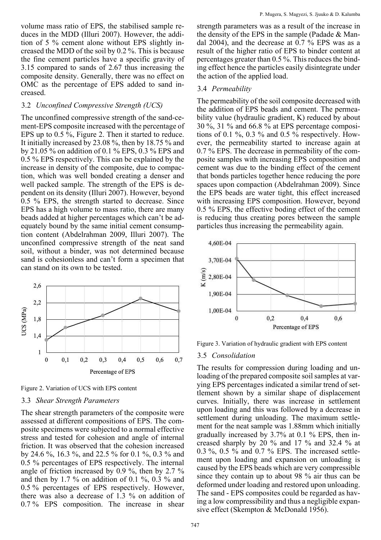volume mass ratio of EPS, the stabilised sample reduces in the MDD (Illuri 2007). However, the addition of 5 % cement alone without EPS slightly increased the MDD of the soil by 0.2 %. This is because the fine cement particles have a specific gravity of 3.15 compared to sands of 2.67 thus increasing the composite density. Generally, there was no effect on OMC as the percentage of EPS added to sand increased.

#### 3.2 *Unconfined Compressive Strength (UCS)*

The unconfined compressive strength of the sand-cement-EPS composite increased with the percentage of EPS up to 0.5 %, Figure 2. Then it started to reduce. It initially increased by 23.08 %, then by 18.75 % and by 21.05 % on addition of 0.1 % EPS, 0.3 % EPS and 0.5 % EPS respectively. This can be explained by the increase in density of the composite, due to compaction, which was well bonded creating a denser and well packed sample. The strength of the EPS is dependent on its density (Illuri 2007). However, beyond 0.5 % EPS, the strength started to decrease. Since EPS has a high volume to mass ratio, there are many beads added at higher percentages which can't be adequately bound by the same initial cement consumption content (Abdelrahman 2009, Illuri 2007). The unconfined compressive strength of the neat sand soil, without a binder, was not determined because sand is cohesionless and can't form a specimen that can stand on its own to be tested.



Figure 2. Variation of UCS with EPS content

#### 3.3 *Shear Strength Parameters*

The shear strength parameters of the composite were assessed at different compositions of EPS. The composite specimens were subjected to a normal effective stress and tested for cohesion and angle of internal friction. It was observed that the cohesion increased by 24.6 %, 16.3 %, and 22.5 % for 0.1 %, 0.3 % and 0.5 % percentages of EPS respectively. The internal angle of friction increased by 0.9 %, then by 2.7 % and then by 1.7 % on addition of 0.1 %, 0.3 % and 0.5 % percentages of EPS respectively. However, there was also a decrease of 1.3 % on addition of 0.7 % EPS composition. The increase in shear

strength parameters was as a result of the increase in the density of the EPS in the sample (Padade  $&$  Mandal 2004), and the decrease at 0.7 % EPS was as a result of the higher ratio of EPS to binder content at percentages greater than 0.5 %. This reduces the binding effect hence the particles easily disintegrate under the action of the applied load.

#### 3.4 *Permeability*

The permeability of the soil composite decreased with the addition of EPS beads and cement. The permeability value (hydraulic gradient, K) reduced by about 30 %, 31 % and 66.8 % at EPS percentage compositions of 0.1 %, 0.3 % and 0.5 % respectively. However, the permeability started to increase again at 0.7 % EPS. The decrease in permeability of the composite samples with increasing EPS composition and cement was due to the binding effect of the cement that bonds particles together hence reducing the pore spaces upon compaction (Abdelrahman 2009). Since the EPS beads are water tight, this effect increased with increasing EPS composition. However, beyond 0.5 % EPS, the effective boding effect of the cement is reducing thus creating pores between the sample particles thus increasing the permeability again.



Figure 3. Variation of hydraulic gradient with EPS content

#### 3.5 *Consolidation*

The results for compression during loading and unloading of the prepared composite soil samples at varying EPS percentages indicated a similar trend of settlement shown by a similar shape of displacement curves. Initially, there was increase in settlement upon loading and this was followed by a decrease in settlement during unloading. The maximum settlement for the neat sample was 1.88mm which initially gradually increased by 3.7% at 0.1 % EPS, then increased sharply by 20 % and 17 % and 32.4 % at 0.3 %, 0.5 % and 0.7 % EPS. The increased settlement upon loading and expansion on unloading is caused by the EPS beads which are very compressible since they contain up to about 98 % air thus can be deformed under loading and restored upon unloading. The sand - EPS composites could be regarded as having a low compressibility and thus a negligible expansive effect (Skempton & McDonald 1956).